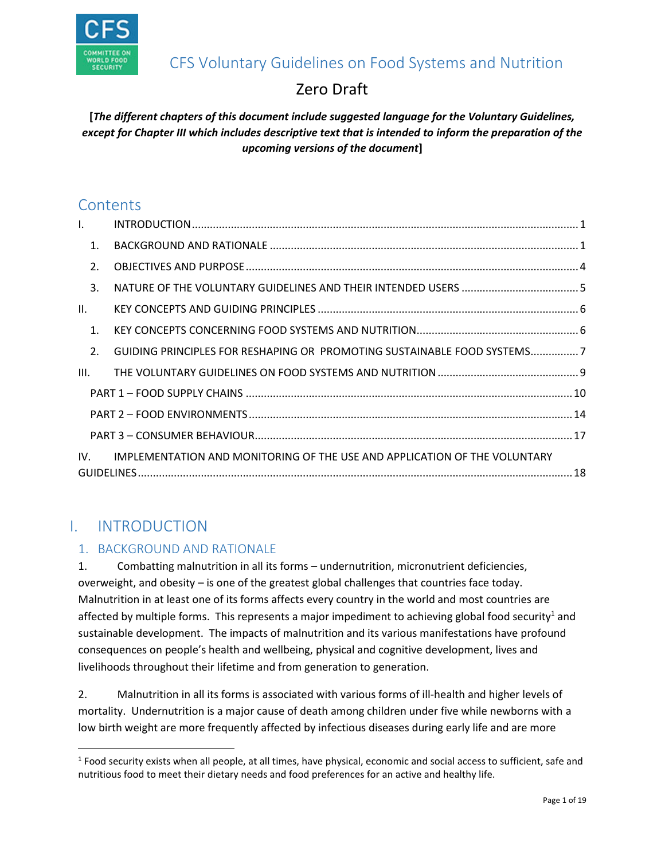

# CFS Voluntary Guidelines on Food Systems and Nutrition

# Zero Draft

# **[***The different chapters of this document include suggested language for the Voluntary Guidelines, except for Chapter III which includes descriptive text that is intended to inform the preparation of the upcoming versions of the document***]**

# **Contents**

| $\mathsf{L}$   |                                                                           |  |
|----------------|---------------------------------------------------------------------------|--|
| $\mathbf{1}$ . |                                                                           |  |
| 2.             |                                                                           |  |
| 3.             |                                                                           |  |
| II.            |                                                                           |  |
| $\mathbf{1}$ . |                                                                           |  |
| 2.             | GUIDING PRINCIPLES FOR RESHAPING OR PROMOTING SUSTAINABLE FOOD SYSTEMS7   |  |
| III.           |                                                                           |  |
|                |                                                                           |  |
|                |                                                                           |  |
|                |                                                                           |  |
| IV.            | IMPLEMENTATION AND MONITORING OF THE USE AND APPLICATION OF THE VOLUNTARY |  |

# <span id="page-0-0"></span>I. INTRODUCTION

l

# <span id="page-0-1"></span>1. BACKGROUND AND RATIONALE

1. Combatting malnutrition in all its forms – undernutrition, micronutrient deficiencies, overweight, and obesity – is one of the greatest global challenges that countries face today. Malnutrition in at least one of its forms affects every country in the world and most countries are affected by multiple forms. This represents a major impediment to achieving global food security<sup>1</sup> and sustainable development. The impacts of malnutrition and its various manifestations have profound consequences on people's health and wellbeing, physical and cognitive development, lives and livelihoods throughout their lifetime and from generation to generation.

2. Malnutrition in all its forms is associated with various forms of ill-health and higher levels of mortality. Undernutrition is a major cause of death among children under five while newborns with a low birth weight are more frequently affected by infectious diseases during early life and are more

 $1$  Food security exists when all people, at all times, have physical, economic and social access to sufficient, safe and nutritious food to meet their dietary needs and food preferences for an active and healthy life.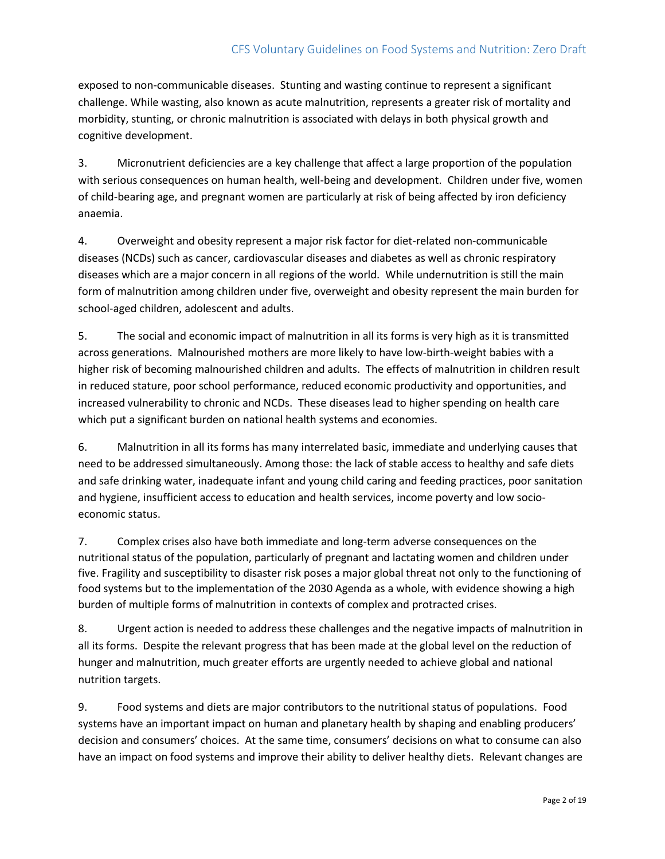## CFS Voluntary Guidelines on Food Systems and Nutrition: Zero Draft

exposed to non-communicable diseases. Stunting and wasting continue to represent a significant challenge. While wasting, also known as acute malnutrition, represents a greater risk of mortality and morbidity, stunting, or chronic malnutrition is associated with delays in both physical growth and cognitive development.

3. Micronutrient deficiencies are a key challenge that affect a large proportion of the population with serious consequences on human health, well-being and development. Children under five, women of child-bearing age, and pregnant women are particularly at risk of being affected by iron deficiency anaemia.

4. Overweight and obesity represent a major risk factor for diet-related non-communicable diseases (NCDs) such as cancer, cardiovascular diseases and diabetes as well as chronic respiratory diseases which are a major concern in all regions of the world. While undernutrition is still the main form of malnutrition among children under five, overweight and obesity represent the main burden for school-aged children, adolescent and adults.

5. The social and economic impact of malnutrition in all its forms is very high as it is transmitted across generations. Malnourished mothers are more likely to have low-birth-weight babies with a higher risk of becoming malnourished children and adults. The effects of malnutrition in children result in reduced stature, poor school performance, reduced economic productivity and opportunities, and increased vulnerability to chronic and NCDs. These diseases lead to higher spending on health care which put a significant burden on national health systems and economies.

6. Malnutrition in all its forms has many interrelated basic, immediate and underlying causes that need to be addressed simultaneously. Among those: the lack of stable access to healthy and safe diets and safe drinking water, inadequate infant and young child caring and feeding practices, poor sanitation and hygiene, insufficient access to education and health services, income poverty and low socioeconomic status.

7. Complex crises also have both immediate and long-term adverse consequences on the nutritional status of the population, particularly of pregnant and lactating women and children under five. Fragility and susceptibility to disaster risk poses a major global threat not only to the functioning of food systems but to the implementation of the 2030 Agenda as a whole, with evidence showing a high burden of multiple forms of malnutrition in contexts of complex and protracted crises.

8. Urgent action is needed to address these challenges and the negative impacts of malnutrition in all its forms. Despite the relevant progress that has been made at the global level on the reduction of hunger and malnutrition, much greater efforts are urgently needed to achieve global and national nutrition targets.

9. Food systems and diets are major contributors to the nutritional status of populations. Food systems have an important impact on human and planetary health by shaping and enabling producers' decision and consumers' choices. At the same time, consumers' decisions on what to consume can also have an impact on food systems and improve their ability to deliver healthy diets. Relevant changes are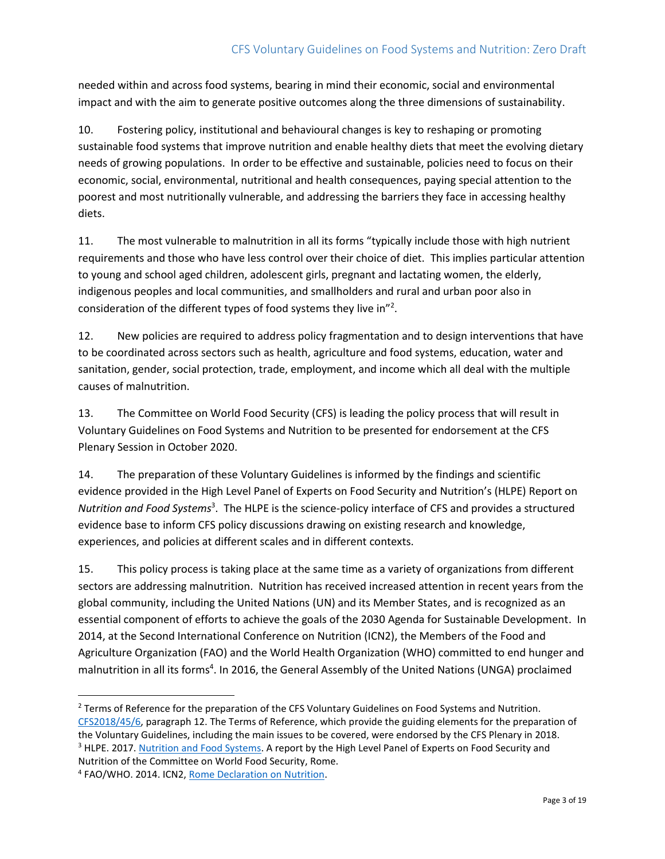needed within and across food systems, bearing in mind their economic, social and environmental impact and with the aim to generate positive outcomes along the three dimensions of sustainability.

10. Fostering policy, institutional and behavioural changes is key to reshaping or promoting sustainable food systems that improve nutrition and enable healthy diets that meet the evolving dietary needs of growing populations. In order to be effective and sustainable, policies need to focus on their economic, social, environmental, nutritional and health consequences, paying special attention to the poorest and most nutritionally vulnerable, and addressing the barriers they face in accessing healthy diets.

11. The most vulnerable to malnutrition in all its forms "typically include those with high nutrient requirements and those who have less control over their choice of diet. This implies particular attention to young and school aged children, adolescent girls, pregnant and lactating women, the elderly, indigenous peoples and local communities, and smallholders and rural and urban poor also in consideration of the different types of food systems they live in"<sup>2</sup>.

12. New policies are required to address policy fragmentation and to design interventions that have to be coordinated across sectors such as health, agriculture and food systems, education, water and sanitation, gender, social protection, trade, employment, and income which all deal with the multiple causes of malnutrition.

13. The Committee on World Food Security (CFS) is leading the policy process that will result in Voluntary Guidelines on Food Systems and Nutrition to be presented for endorsement at the CFS Plenary Session in October 2020.

14. The preparation of these Voluntary Guidelines is informed by the findings and scientific evidence provided in the High Level Panel of Experts on Food Security and Nutrition's (HLPE) Report on *Nutrition and Food Systems*<sup>3</sup> . The HLPE is the science-policy interface of CFS and provides a structured evidence base to inform CFS policy discussions drawing on existing research and knowledge, experiences, and policies at different scales and in different contexts.

15. This policy process is taking place at the same time as a variety of organizations from different sectors are addressing malnutrition. Nutrition has received increased attention in recent years from the global community, including the United Nations (UN) and its Member States, and is recognized as an essential component of efforts to achieve the goals of the 2030 Agenda for Sustainable Development. In 2014, at the Second International Conference on Nutrition (ICN2), the Members of the Food and Agriculture Organization (FAO) and the World Health Organization (WHO) committed to end hunger and malnutrition in all its forms<sup>4</sup>. In 2016, the General Assembly of the United Nations (UNGA) proclaimed

 $\overline{a}$ <sup>2</sup> Terms of Reference for the preparation of the CFS Voluntary Guidelines on Food Systems and Nutrition. [CFS2018/45/6,](http://www.fao.org/fileadmin/user_upload/bodies/CFS_sessions/CFS_45/MX516_6/MX516_CFS_2018_45_6_en.pdf) paragraph 12. The Terms of Reference, which provide the guiding elements for the preparation of the Voluntary Guidelines, including the main issues to be covered, were endorsed by the CFS Plenary in 2018. <sup>3</sup> HLPE. 2017. [Nutrition and Food Systems.](http://www.fao.org/3/a-i7846e.pdf/) A report by the High Level Panel of Experts on Food Security and Nutrition of the Committee on World Food Security, Rome.

<sup>&</sup>lt;sup>4</sup> FAO/WHO. 2014. ICN2, [Rome Declaration on Nutrition.](http://www.fao.org/3/a-ml542e.pdf)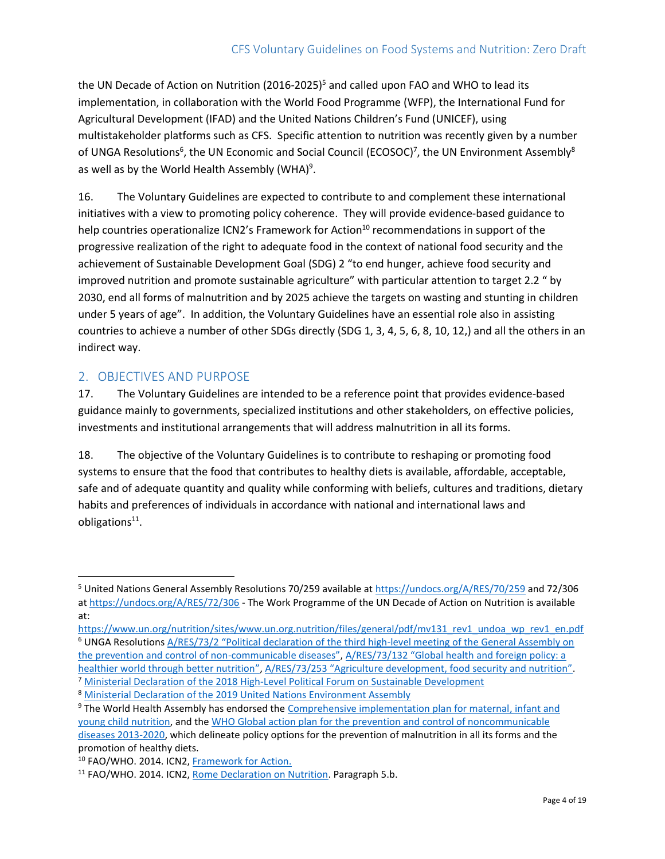the UN Decade of Action on Nutrition (2016-2025)<sup>5</sup> and called upon FAO and WHO to lead its implementation, in collaboration with the World Food Programme (WFP), the International Fund for Agricultural Development (IFAD) and the United Nations Children's Fund (UNICEF), using multistakeholder platforms such as CFS. Specific attention to nutrition was recently given by a number of UNGA Resolutions<sup>6</sup>, the UN Economic and Social Council (ECOSOC)<sup>7</sup>, the UN Environment Assembly<sup>8</sup> as well as by the World Health Assembly (WHA)<sup>9</sup>.

16. The Voluntary Guidelines are expected to contribute to and complement these international initiatives with a view to promoting policy coherence. They will provide evidence-based guidance to help countries operationalize ICN2's Framework for Action<sup>10</sup> recommendations in support of the progressive realization of the right to adequate food in the context of national food security and the achievement of Sustainable Development Goal (SDG) 2 "to end hunger, achieve food security and improved nutrition and promote sustainable agriculture" with particular attention to target 2.2 " by 2030, end all forms of malnutrition and by 2025 achieve the targets on wasting and stunting in children under 5 years of age". In addition, the Voluntary Guidelines have an essential role also in assisting countries to achieve a number of other SDGs directly (SDG 1, 3, 4, 5, 6, 8, 10, 12,) and all the others in an indirect way.

## <span id="page-3-0"></span>2. OBJECTIVES AND PURPOSE

 $\overline{\phantom{a}}$ 

17. The Voluntary Guidelines are intended to be a reference point that provides evidence-based guidance mainly to governments, specialized institutions and other stakeholders, on effective policies, investments and institutional arrangements that will address malnutrition in all its forms.

18. The objective of the Voluntary Guidelines is to contribute to reshaping or promoting food systems to ensure that the food that contributes to healthy diets is available, affordable, acceptable, safe and of adequate quantity and quality while conforming with beliefs, cultures and traditions, dietary habits and preferences of individuals in accordance with national and international laws and obligations<sup>11</sup>.

<sup>&</sup>lt;sup>5</sup> United Nations General Assembly Resolutions 70/259 available at<https://undocs.org/A/RES/70/259> [and 72/306](file://///hqfile4/ES/CFS/CFS-46th/WG%20-%20Food%20Systems%20and%20Nutrition/3_ZERO%20DRAFT/n_Zero%20Draft/and%2072/306) a[t https://undocs.org/A/RES/72/306](https://undocs.org/A/RES/72/306) - The Work Programme of the UN Decade of Action on Nutrition is available at:

[https://www.un.org/nutrition/sites/www.un.org.nutrition/files/general/pdf/mv131\\_rev1\\_undoa\\_wp\\_rev1\\_en.pdf](https://www.un.org/nutrition/sites/www.un.org.nutrition/files/general/pdf/mv131_rev1_undoa_wp_rev1_en.pdf) <sup>6</sup> UNGA Resolutions A/RES/73/2 "Political declaration of [the third high-level meeting of the General Assembly on](https://undocs.org/A/RES/73/2)  [the prevention and control of non-](https://undocs.org/A/RES/73/2)communicable diseases", [A/RES/73/132 "Global health and foreign policy: a](https://undocs.org/en/A/RES/73/132)  [healthier world through better nutrition](https://undocs.org/en/A/RES/73/132)", [A/RES/73/253 "Agriculture development, food security and nutrition"](https://undocs.org/en/A/RES/73/253).

<sup>&</sup>lt;sup>7</sup> [Ministerial Declaration of the 2018 High-Level Political Forum on Sustainable Development](http://www.un.org/ga/search/view_doc.asp?symbol=E/HLS/2018/1&Lang=E,%20para%2026,%20p.%207)

<sup>8</sup> [Ministerial Declaration of the 2019 United Nations Environment Assembly](http://wedocs.unep.org/bitstream/handle/20.500.11822/27701/Draft%20Ministerial%20Declaration%20Fifth%20Draft%20as%20of%2014.03.2019.pdf?sequence=1&isAllowed=y,%20para%205.d,%20p.%202)

<sup>&</sup>lt;sup>9</sup> The World Health Assembly has endorsed the Comprehensive implementation plan for maternal, infant and [young child nutrition,](https://apps.who.int/iris/bitstream/handle/10665/113048/WHO_NMH_NHD_14.1_eng.pdf;jsessionid=CA83C0A1FF901F291CF3D1CFF1006DCD?sequence=1) and the [WHO Global action plan for the prevention and control of noncommunicable](https://apps.who.int/iris/bitstream/handle/10665/94384/9789241506236_eng.pdf?sequence=1)  [diseases 2013-2020,](https://apps.who.int/iris/bitstream/handle/10665/94384/9789241506236_eng.pdf?sequence=1) which delineate policy options for the prevention of malnutrition in all its forms and the promotion of healthy diets.

<sup>10</sup> FAO/WHO. 2014. ICN2, [Framework for Action.](http://www.fao.org/3/a-mm215e.pdf)

<sup>&</sup>lt;sup>11</sup> FAO/WHO. 2014. ICN2, [Rome Declaration on Nutrition.](http://www.fao.org/3/a-ml542e.pdf) Paragraph 5.b.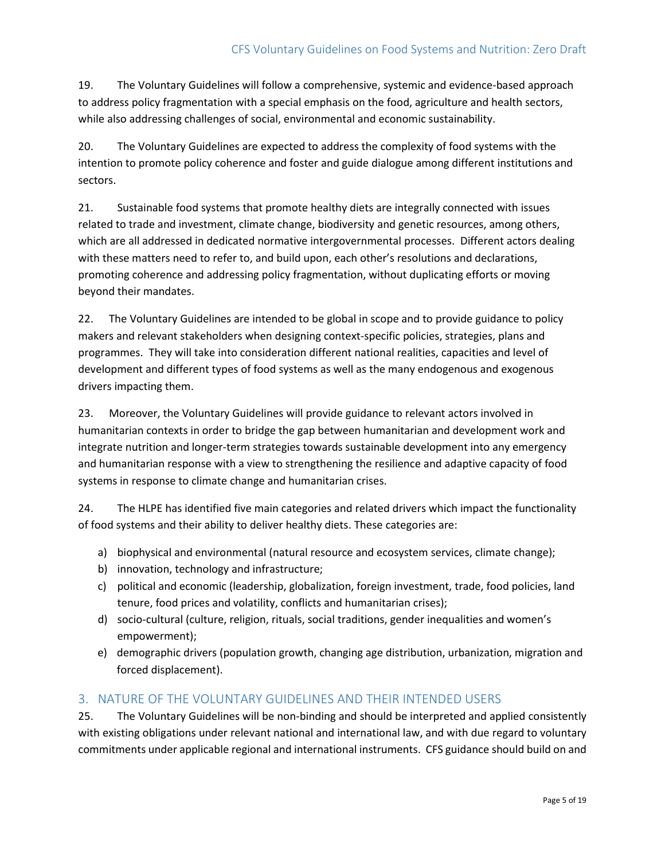19. The Voluntary Guidelines will follow a comprehensive, systemic and evidence-based approach to address policy fragmentation with a special emphasis on the food, agriculture and health sectors, while also addressing challenges of social, environmental and economic sustainability.

20. The Voluntary Guidelines are expected to address the complexity of food systems with the intention to promote policy coherence and foster and guide dialogue among different institutions and sectors.

21. Sustainable food systems that promote healthy diets are integrally connected with issues related to trade and investment, climate change, biodiversity and genetic resources, among others, which are all addressed in dedicated normative intergovernmental processes. Different actors dealing with these matters need to refer to, and build upon, each other's resolutions and declarations, promoting coherence and addressing policy fragmentation, without duplicating efforts or moving beyond their mandates.

22. The Voluntary Guidelines are intended to be global in scope and to provide guidance to policy makers and relevant stakeholders when designing context-specific policies, strategies, plans and programmes. They will take into consideration different national realities, capacities and level of development and different types of food systems as well as the many endogenous and exogenous drivers impacting them.

23. Moreover, the Voluntary Guidelines will provide guidance to relevant actors involved in humanitarian contexts in order to bridge the gap between humanitarian and development work and integrate nutrition and longer-term strategies towards sustainable development into any emergency and humanitarian response with a view to strengthening the resilience and adaptive capacity of food systems in response to climate change and humanitarian crises.

24. The HLPE has identified five main categories and related drivers which impact the functionality of food systems and their ability to deliver healthy diets. These categories are:

- a) biophysical and environmental (natural resource and ecosystem services, climate change);
- b) innovation, technology and infrastructure;
- c) political and economic (leadership, globalization, foreign investment, trade, food policies, land tenure, food prices and volatility, conflicts and humanitarian crises);
- d) socio-cultural (culture, religion, rituals, social traditions, gender inequalities and women's empowerment);
- e) demographic drivers (population growth, changing age distribution, urbanization, migration and forced displacement).

# <span id="page-4-0"></span>3. NATURE OF THE VOLUNTARY GUIDELINES AND THEIR INTENDED USERS

25. The Voluntary Guidelines will be non-binding and should be interpreted and applied consistently with existing obligations under relevant national and international law, and with due regard to voluntary commitments under applicable regional and international instruments. CFS guidance should build on and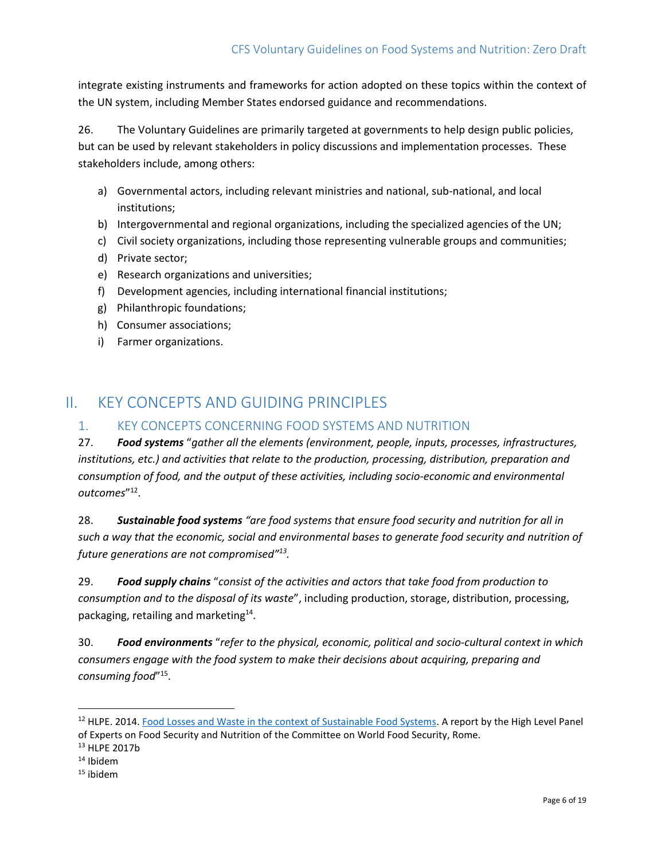integrate existing instruments and frameworks for action adopted on these topics within the context of the UN system, including Member States endorsed guidance and recommendations.

26. The Voluntary Guidelines are primarily targeted at governments to help design public policies, but can be used by relevant stakeholders in policy discussions and implementation processes. These stakeholders include, among others:

- a) Governmental actors, including relevant ministries and national, sub-national, and local institutions;
- b) Intergovernmental and regional organizations, including the specialized agencies of the UN;
- c) Civil society organizations, including those representing vulnerable groups and communities;
- d) Private sector;
- e) Research organizations and universities;
- f) Development agencies, including international financial institutions;
- g) Philanthropic foundations;
- h) Consumer associations;
- i) Farmer organizations.

# <span id="page-5-0"></span>II. KEY CONCEPTS AND GUIDING PRINCIPLES

## <span id="page-5-1"></span>1. KEY CONCEPTS CONCERNING FOOD SYSTEMS AND NUTRITION

27. *Food systems* "*gather all the elements (environment, people, inputs, processes, infrastructures, institutions, etc.) and activities that relate to the production, processing, distribution, preparation and consumption of food, and the output of these activities, including socio-economic and environmental outcomes*" 12 .

28. *Sustainable food systems "are food systems that ensure food security and nutrition for all in such a way that the economic, social and environmental bases to generate food security and nutrition of future generations are not compromised"<sup>13</sup> .*

29. *Food supply chains* "*consist of the activities and actors that take food from production to consumption and to the disposal of its waste*", including production, storage, distribution, processing, packaging, retailing and marketing<sup>14</sup>.

30. *Food environments* "*refer to the physical, economic, political and socio-cultural context in which consumers engage with the food system to make their decisions about acquiring, preparing and consuming food*" 15 .

l

<sup>&</sup>lt;sup>12</sup> HLPE. 2014. [Food Losses and Waste in the context of Sustainable Food Systems.](http://www.fao.org/3/a-i3901e.pdf) A report by the High Level Panel of Experts on Food Security and Nutrition of the Committee on World Food Security, Rome.

<sup>13</sup> HLPE 2017b

<sup>14</sup> Ibidem

<sup>15</sup> ibidem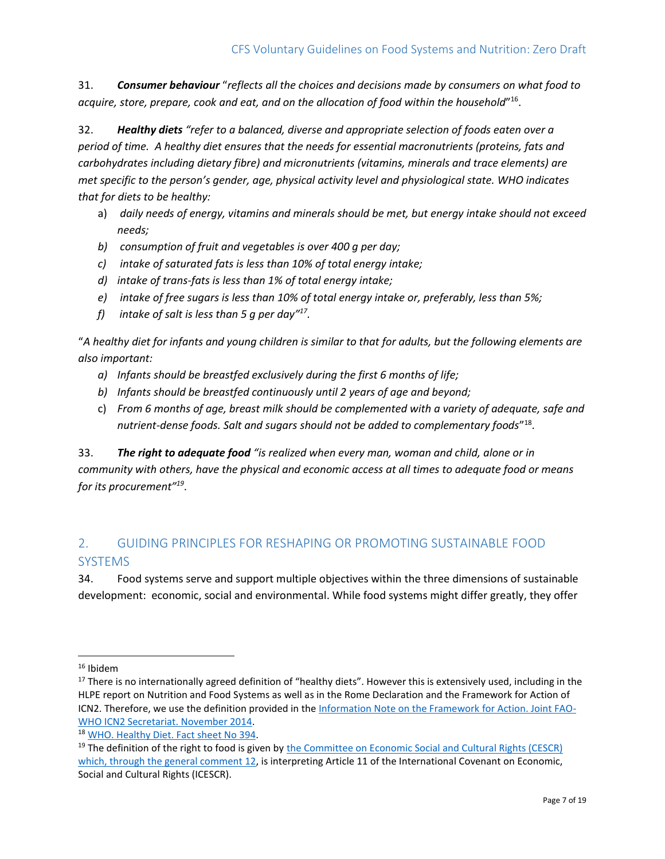31. *Consumer behaviour* "*reflects all the choices and decisions made by consumers on what food to acquire, store, prepare, cook and eat, and on the allocation of food within the household*" 16 .

32. *Healthy diets "refer to a balanced, diverse and appropriate selection of foods eaten over a period of time. A healthy diet ensures that the needs for essential macronutrients (proteins, fats and carbohydrates including dietary fibre) and micronutrients (vitamins, minerals and trace elements) are met specific to the person's gender, age, physical activity level and physiological state. WHO indicates that for diets to be healthy:*

- a) *daily needs of energy, vitamins and minerals should be met, but energy intake should not exceed needs;*
- *b) consumption of fruit and vegetables is over 400 g per day;*
- *c) intake of saturated fats is less than 10% of total energy intake;*
- *d) intake of trans-fats is less than 1% of total energy intake;*
- *e) intake of free sugars is less than 10% of total energy intake or, preferably, less than 5%;*
- *f) intake of salt is less than 5 g per day"<sup>17</sup> .*

"*A healthy diet for infants and young children is similar to that for adults, but the following elements are also important:* 

- *a) Infants should be breastfed exclusively during the first 6 months of life;*
- *b) Infants should be breastfed continuously until 2 years of age and beyond;*
- c) *From 6 months of age, breast milk should be complemented with a variety of adequate, safe and nutrient-dense foods. Salt and sugars should not be added to complementary foods*" 18 .

33. *The right to adequate food "is realized when every man, woman and child, alone or in community with others, have the physical and economic access at all times to adequate food or means for its procurement"<sup>19</sup>* .

# <span id="page-6-0"></span>2. GUIDING PRINCIPLES FOR RESHAPING OR PROMOTING SUSTAINABLE FOOD SYSTEMS

34. Food systems serve and support multiple objectives within the three dimensions of sustainable development: economic, social and environmental. While food systems might differ greatly, they offer

 $\overline{\phantom{a}}$ 

<sup>16</sup> Ibidem

<sup>&</sup>lt;sup>17</sup> There is no internationally agreed definition of "healthy diets". However this is extensively used, including in the HLPE report on Nutrition and Food Systems as well as in the Rome Declaration and the Framework for Action of ICN2. Therefore, we use the definition provided in th[e Information Note on the Framework](http://www.fao.org/fileadmin/user_upload/faoweb/ICN2/documents/InfoNote-e.pdf) for Action. Joint FAO-[WHO ICN2 Secretariat. November 2014.](http://www.fao.org/fileadmin/user_upload/faoweb/ICN2/documents/InfoNote-e.pdf)

<sup>18</sup> [WHO. Healthy Diet. Fact sheet No 394.](https://www.who.int/nutrition/publications/nutrientrequirements/healthydiet_factsheet/en/)

<sup>&</sup>lt;sup>19</sup> The definition of the right to food is given by the Committee on Economic Social and Cultural Rights (CESCR) [which, through the general comment 12,](https://tbinternet.ohchr.org/_layouts/treatybodyexternal/Download.aspx?symbolno=E%2fC.12%2f1999%2f5&Lang=en) is interpreting Article 11 of the International Covenant on Economic, Social and Cultural Rights (ICESCR).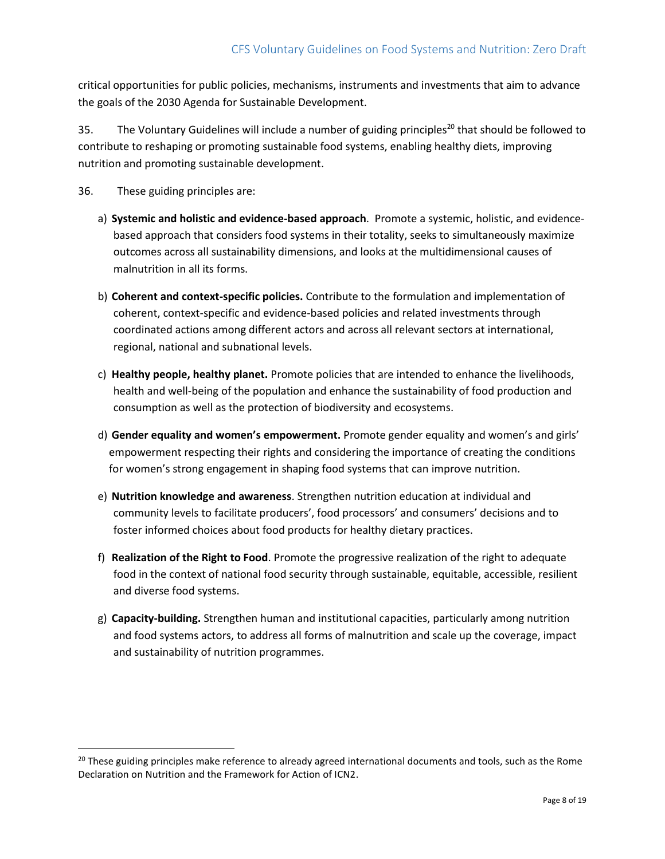critical opportunities for public policies, mechanisms, instruments and investments that aim to advance the goals of the 2030 Agenda for Sustainable Development.

35. The Voluntary Guidelines will include a number of guiding principles<sup>20</sup> that should be followed to contribute to reshaping or promoting sustainable food systems, enabling healthy diets, improving nutrition and promoting sustainable development.

36. These guiding principles are:

l

- a) **Systemic and holistic and evidence-based approach**. Promote a systemic, holistic, and evidencebased approach that considers food systems in their totality, seeks to simultaneously maximize outcomes across all sustainability dimensions, and looks at the multidimensional causes of malnutrition in all its forms.
- b) **Coherent and context-specific policies.** Contribute to the formulation and implementation of coherent, context-specific and evidence-based policies and related investments through coordinated actions among different actors and across all relevant sectors at international, regional, national and subnational levels.
- c) **Healthy people, healthy planet.** Promote policies that are intended to enhance the livelihoods, health and well-being of the population and enhance the sustainability of food production and consumption as well as the protection of biodiversity and ecosystems.
- d) **Gender equality and women's empowerment.** Promote gender equality and women's and girls' empowerment respecting their rights and considering the importance of creating the conditions for women's strong engagement in shaping food systems that can improve nutrition.
- e) **Nutrition knowledge and awareness**. Strengthen nutrition education at individual and community levels to facilitate producers', food processors' and consumers' decisions and to foster informed choices about food products for healthy dietary practices.
- f) **Realization of the Right to Food**. Promote the progressive realization of the right to adequate food in the context of national food security through sustainable, equitable, accessible, resilient and diverse food systems.
- g) **Capacity-building.** Strengthen human and institutional capacities, particularly among nutrition and food systems actors, to address all forms of malnutrition and scale up the coverage, impact and sustainability of nutrition programmes.

<sup>&</sup>lt;sup>20</sup> These guiding principles make reference to already agreed international documents and tools, such as the Rome Declaration on Nutrition and the Framework for Action of ICN2.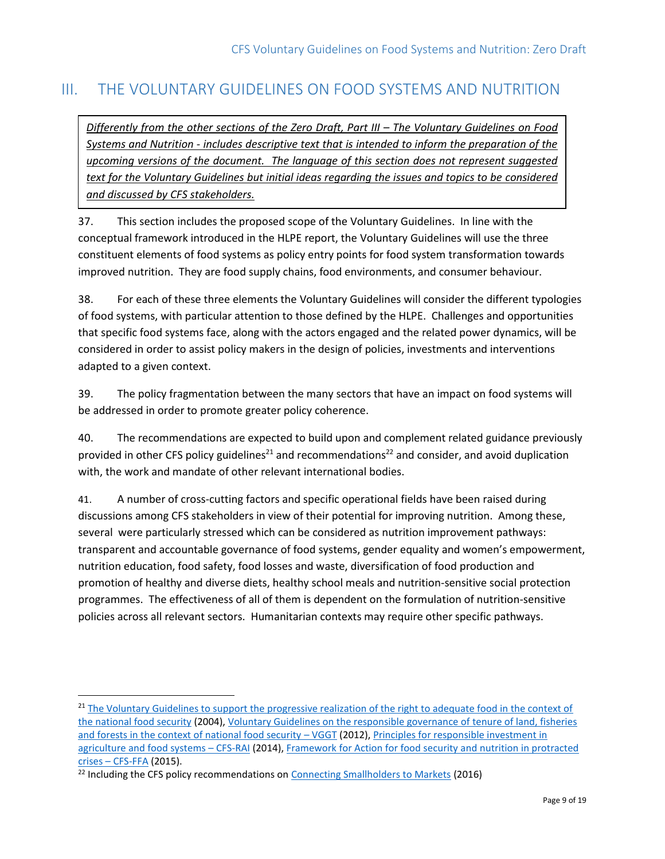# <span id="page-8-0"></span>III. THE VOLUNTARY GUIDELINES ON FOOD SYSTEMS AND NUTRITION

*Differently from the other sections of the Zero Draft, Part III – The Voluntary Guidelines on Food Systems and Nutrition - includes descriptive text that is intended to inform the preparation of the upcoming versions of the document. The language of this section does not represent suggested text for the Voluntary Guidelines but initial ideas regarding the issues and topics to be considered and discussed by CFS stakeholders.*

37. This section includes the proposed scope of the Voluntary Guidelines. In line with the conceptual framework introduced in the HLPE report, the Voluntary Guidelines will use the three constituent elements of food systems as policy entry points for food system transformation towards improved nutrition. They are food supply chains, food environments, and consumer behaviour.

38. For each of these three elements the Voluntary Guidelines will consider the different typologies of food systems, with particular attention to those defined by the HLPE. Challenges and opportunities that specific food systems face, along with the actors engaged and the related power dynamics, will be considered in order to assist policy makers in the design of policies, investments and interventions adapted to a given context.

39. The policy fragmentation between the many sectors that have an impact on food systems will be addressed in order to promote greater policy coherence.

40. The recommendations are expected to build upon and complement related guidance previously provided in other CFS policy guidelines<sup>21</sup> and recommendations<sup>22</sup> and consider, and avoid duplication with, the work and mandate of other relevant international bodies.

41. A number of cross-cutting factors and specific operational fields have been raised during discussions among CFS stakeholders in view of their potential for improving nutrition. Among these, several were particularly stressed which can be considered as nutrition improvement pathways: transparent and accountable governance of food systems, gender equality and women's empowerment, nutrition education, food safety, food losses and waste, diversification of food production and promotion of healthy and diverse diets, healthy school meals and nutrition-sensitive social protection programmes. The effectiveness of all of them is dependent on the formulation of nutrition-sensitive policies across all relevant sectors. Humanitarian contexts may require other specific pathways.

 $\overline{a}$ 

<sup>&</sup>lt;sup>21</sup> The Voluntary Guidelines to support the progressive realization of the right to adequate food in the context of [the national food security](http://www.fao.org/3/a-y7937e.pdf) (2004), [Voluntary Guidelines on the responsible governance of tenure of land, fisheries](http://www.fao.org/3/i2801e/i2801e.pdf)  [and forests in the context of national food security](http://www.fao.org/3/i2801e/i2801e.pdf) – VGGT (2012), [Principles for responsible investment in](http://www.fao.org/3/a-au866e.pdf)  [agriculture and food systems](http://www.fao.org/3/a-au866e.pdf) – CFS-RAI (2014), [Framework for Action for food security and nutrition in protracted](http://www.fao.org/3/a-bc852e.pdf)  crises – [CFS-FFA](http://www.fao.org/3/a-bc852e.pdf) (2015).

<sup>&</sup>lt;sup>22</sup> Including the CFS policy recommendations on [Connecting Smallholders to Markets](http://www.fao.org/3/a-bq853e.pdf) (2016)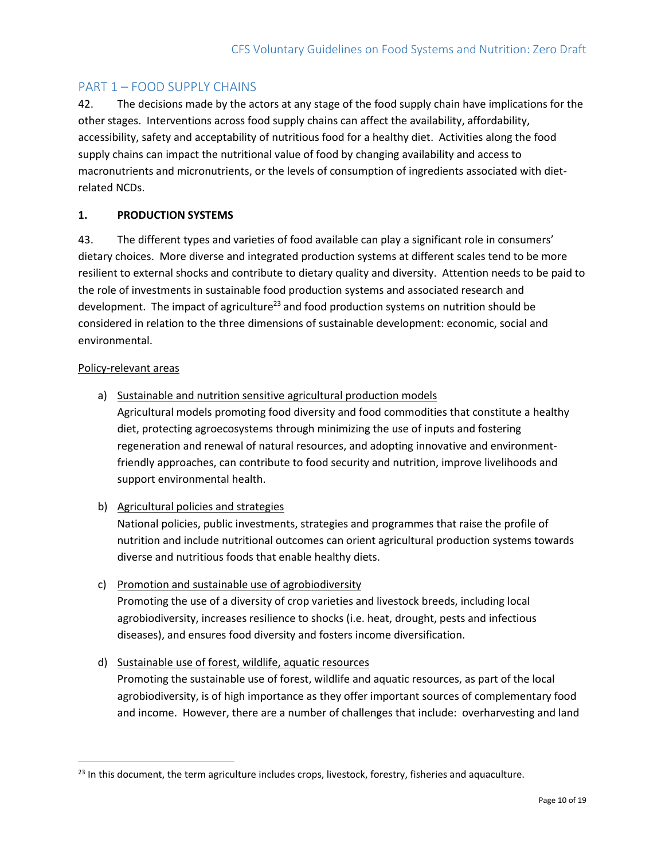## <span id="page-9-0"></span>PART 1 – FOOD SUPPLY CHAINS

42. The decisions made by the actors at any stage of the food supply chain have implications for the other stages. Interventions across food supply chains can affect the availability, affordability, accessibility, safety and acceptability of nutritious food for a healthy diet. Activities along the food supply chains can impact the nutritional value of food by changing availability and access to macronutrients and micronutrients, or the levels of consumption of ingredients associated with dietrelated NCDs.

## **1. PRODUCTION SYSTEMS**

43. The different types and varieties of food available can play a significant role in consumers' dietary choices. More diverse and integrated production systems at different scales tend to be more resilient to external shocks and contribute to dietary quality and diversity. Attention needs to be paid to the role of investments in sustainable food production systems and associated research and development. The impact of agriculture<sup>23</sup> and food production systems on nutrition should be considered in relation to the three dimensions of sustainable development: economic, social and environmental.

## Policy-relevant areas

 $\overline{\phantom{a}}$ 

a) Sustainable and nutrition sensitive agricultural production models

Agricultural models promoting food diversity and food commodities that constitute a healthy diet, protecting agroecosystems through minimizing the use of inputs and fostering regeneration and renewal of natural resources, and adopting innovative and environmentfriendly approaches, can contribute to food security and nutrition, improve livelihoods and support environmental health.

b) Agricultural policies and strategies

National policies, public investments, strategies and programmes that raise the profile of nutrition and include nutritional outcomes can orient agricultural production systems towards diverse and nutritious foods that enable healthy diets.

- c) Promotion and sustainable use of agrobiodiversity Promoting the use of a diversity of crop varieties and livestock breeds, including local agrobiodiversity, increases resilience to shocks (i.e. heat, drought, pests and infectious diseases), and ensures food diversity and fosters income diversification.
- d) Sustainable use of forest, wildlife, aquatic resources

Promoting the sustainable use of forest, wildlife and aquatic resources, as part of the local agrobiodiversity, is of high importance as they offer important sources of complementary food and income. However, there are a number of challenges that include: overharvesting and land

 $^{23}$  In this document, the term agriculture includes crops, livestock, forestry, fisheries and aquaculture.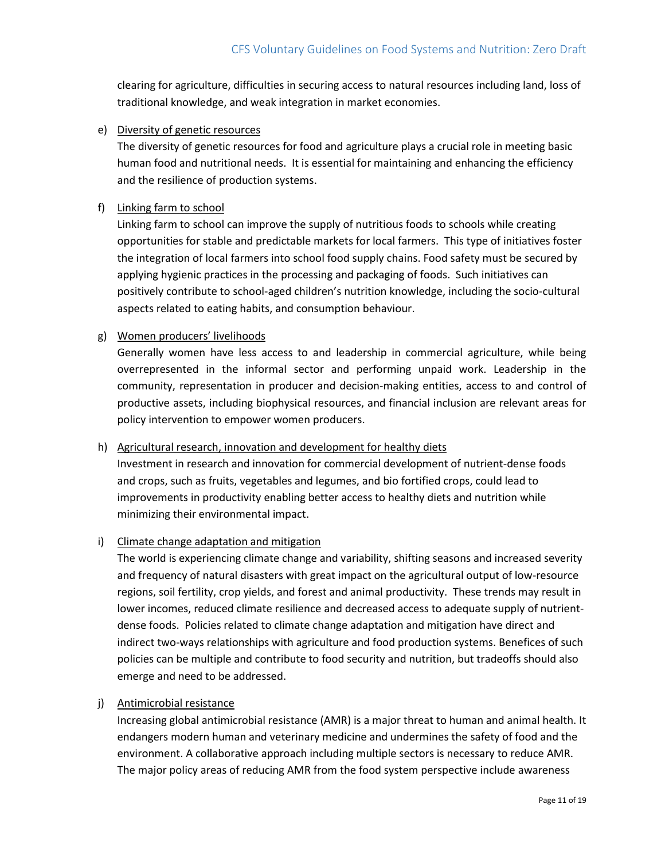clearing for agriculture, difficulties in securing access to natural resources including land, loss of traditional knowledge, and weak integration in market economies.

e) Diversity of genetic resources

The diversity of genetic resources for food and agriculture plays a crucial role in meeting basic human food and nutritional needs. It is essential for maintaining and enhancing the efficiency and the resilience of production systems.

### f) Linking farm to school

Linking farm to school can improve the supply of nutritious foods to schools while creating opportunities for stable and predictable markets for local farmers. This type of initiatives foster the integration of local farmers into school food supply chains. Food safety must be secured by applying hygienic practices in the processing and packaging of foods. Such initiatives can positively contribute to school-aged children's nutrition knowledge, including the socio-cultural aspects related to eating habits, and consumption behaviour.

## g) Women producers' livelihoods

Generally women have less access to and leadership in commercial agriculture, while being overrepresented in the informal sector and performing unpaid work. Leadership in the community, representation in producer and decision-making entities, access to and control of productive assets, including biophysical resources, and financial inclusion are relevant areas for policy intervention to empower women producers.

#### h) Agricultural research, innovation and development for healthy diets

Investment in research and innovation for commercial development of nutrient-dense foods and crops, such as fruits, vegetables and legumes, and bio fortified crops, could lead to improvements in productivity enabling better access to healthy diets and nutrition while minimizing their environmental impact.

## i) Climate change adaptation and mitigation

The world is experiencing climate change and variability, shifting seasons and increased severity and frequency of natural disasters with great impact on the agricultural output of low-resource regions, soil fertility, crop yields, and forest and animal productivity. These trends may result in lower incomes, reduced climate resilience and decreased access to adequate supply of nutrientdense foods. Policies related to climate change adaptation and mitigation have direct and indirect two-ways relationships with agriculture and food production systems. Benefices of such policies can be multiple and contribute to food security and nutrition, but tradeoffs should also emerge and need to be addressed.

#### j) Antimicrobial resistance

Increasing global antimicrobial resistance (AMR) is a major threat to human and animal health. It endangers modern human and veterinary medicine and undermines the safety of food and the environment. A collaborative approach including multiple sectors is necessary to reduce AMR. The major policy areas of reducing AMR from the food system perspective include awareness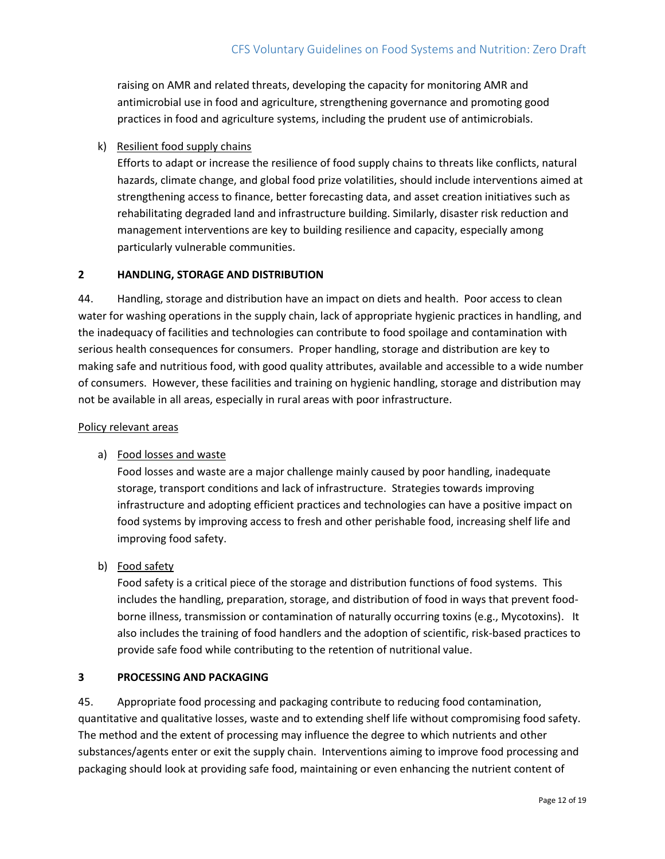raising on AMR and related threats, developing the capacity for monitoring AMR and antimicrobial use in food and agriculture, strengthening governance and promoting good practices in food and agriculture systems, including the prudent use of antimicrobials.

## k) Resilient food supply chains

Efforts to adapt or increase the resilience of food supply chains to threats like conflicts, natural hazards, climate change, and global food prize volatilities, should include interventions aimed at strengthening access to finance, better forecasting data, and asset creation initiatives such as rehabilitating degraded land and infrastructure building. Similarly, disaster risk reduction and management interventions are key to building resilience and capacity, especially among particularly vulnerable communities.

### **2 HANDLING, STORAGE AND DISTRIBUTION**

44. Handling, storage and distribution have an impact on diets and health. Poor access to clean water for washing operations in the supply chain, lack of appropriate hygienic practices in handling, and the inadequacy of facilities and technologies can contribute to food spoilage and contamination with serious health consequences for consumers. Proper handling, storage and distribution are key to making safe and nutritious food, with good quality attributes, available and accessible to a wide number of consumers. However, these facilities and training on hygienic handling, storage and distribution may not be available in all areas, especially in rural areas with poor infrastructure.

#### Policy relevant areas

## a) Food losses and waste

Food losses and waste are a major challenge mainly caused by poor handling, inadequate storage, transport conditions and lack of infrastructure. Strategies towards improving infrastructure and adopting efficient practices and technologies can have a positive impact on food systems by improving access to fresh and other perishable food, increasing shelf life and improving food safety.

b) Food safety

Food safety is a critical piece of the storage and distribution functions of food systems. This includes the handling, preparation, storage, and distribution of food in ways that prevent foodborne illness, transmission or contamination of naturally occurring toxins (e.g., Mycotoxins). It also includes the training of food handlers and the adoption of scientific, risk-based practices to provide safe food while contributing to the retention of nutritional value.

## **3 PROCESSING AND PACKAGING**

45. Appropriate food processing and packaging contribute to reducing food contamination, quantitative and qualitative losses, waste and to extending shelf life without compromising food safety. The method and the extent of processing may influence the degree to which nutrients and other substances/agents enter or exit the supply chain. Interventions aiming to improve food processing and packaging should look at providing safe food, maintaining or even enhancing the nutrient content of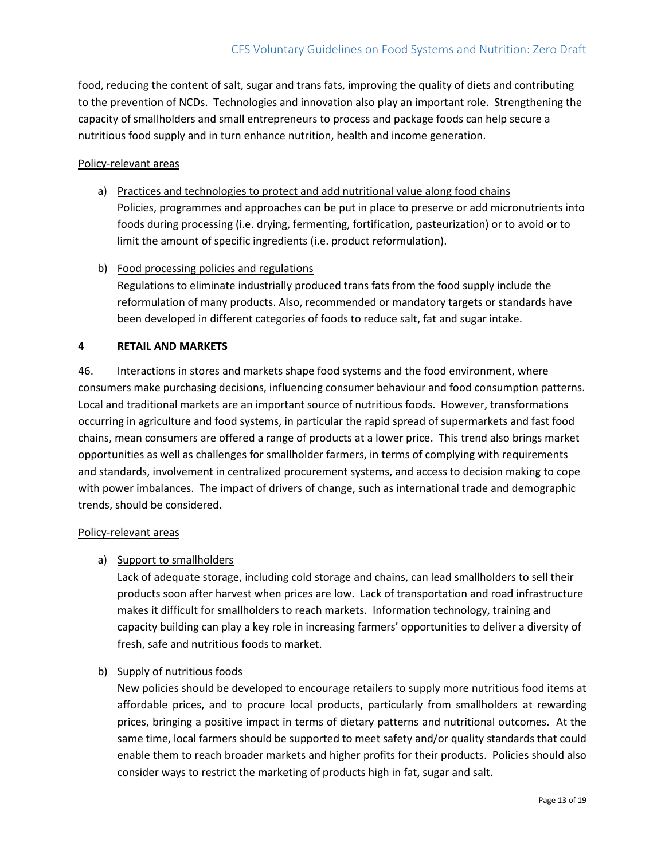food, reducing the content of salt, sugar and trans fats, improving the quality of diets and contributing to the prevention of NCDs. Technologies and innovation also play an important role. Strengthening the capacity of smallholders and small entrepreneurs to process and package foods can help secure a nutritious food supply and in turn enhance nutrition, health and income generation.

### Policy-relevant areas

- a) Practices and technologies to protect and add nutritional value along food chains Policies, programmes and approaches can be put in place to preserve or add micronutrients into foods during processing (i.e. drying, fermenting, fortification, pasteurization) or to avoid or to limit the amount of specific ingredients (i.e. product reformulation).
- b) Food processing policies and regulations

Regulations to eliminate industrially produced trans fats from the food supply include the reformulation of many products. Also, recommended or mandatory targets or standards have been developed in different categories of foods to reduce salt, fat and sugar intake.

#### **4 RETAIL AND MARKETS**

46. Interactions in stores and markets shape food systems and the food environment, where consumers make purchasing decisions, influencing consumer behaviour and food consumption patterns. Local and traditional markets are an important source of nutritious foods. However, transformations occurring in agriculture and food systems, in particular the rapid spread of supermarkets and fast food chains, mean consumers are offered a range of products at a lower price. This trend also brings market opportunities as well as challenges for smallholder farmers, in terms of complying with requirements and standards, involvement in centralized procurement systems, and access to decision making to cope with power imbalances. The impact of drivers of change, such as international trade and demographic trends, should be considered.

#### Policy-relevant areas

#### a) Support to smallholders

Lack of adequate storage, including cold storage and chains, can lead smallholders to sell their products soon after harvest when prices are low. Lack of transportation and road infrastructure makes it difficult for smallholders to reach markets. Information technology, training and capacity building can play a key role in increasing farmers' opportunities to deliver a diversity of fresh, safe and nutritious foods to market.

#### b) Supply of nutritious foods

New policies should be developed to encourage retailers to supply more nutritious food items at affordable prices, and to procure local products, particularly from smallholders at rewarding prices, bringing a positive impact in terms of dietary patterns and nutritional outcomes. At the same time, local farmers should be supported to meet safety and/or quality standards that could enable them to reach broader markets and higher profits for their products. Policies should also consider ways to restrict the marketing of products high in fat, sugar and salt.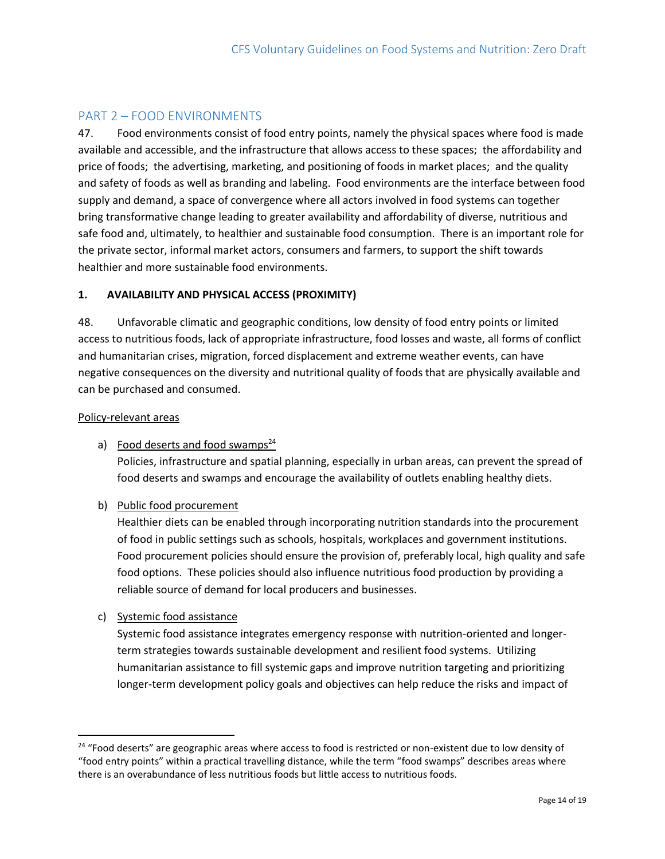## <span id="page-13-0"></span>PART 2 – FOOD ENVIRONMENTS

47. Food environments consist of food entry points, namely the physical spaces where food is made available and accessible, and the infrastructure that allows access to these spaces; the affordability and price of foods; the advertising, marketing, and positioning of foods in market places; and the quality and safety of foods as well as branding and labeling. Food environments are the interface between food supply and demand, a space of convergence where all actors involved in food systems can together bring transformative change leading to greater availability and affordability of diverse, nutritious and safe food and, ultimately, to healthier and sustainable food consumption. There is an important role for the private sector, informal market actors, consumers and farmers, to support the shift towards healthier and more sustainable food environments.

## **1. AVAILABILITY AND PHYSICAL ACCESS (PROXIMITY)**

48. Unfavorable climatic and geographic conditions, low density of food entry points or limited access to nutritious foods, lack of appropriate infrastructure, food losses and waste, all forms of conflict and humanitarian crises, migration, forced displacement and extreme weather events, can have negative consequences on the diversity and nutritional quality of foods that are physically available and can be purchased and consumed.

#### Policy-relevant areas

a) Food deserts and food swamps $^{24}$ 

Policies, infrastructure and spatial planning, especially in urban areas, can prevent the spread of food deserts and swamps and encourage the availability of outlets enabling healthy diets.

b) Public food procurement

Healthier diets can be enabled through incorporating nutrition standards into the procurement of food in public settings such as schools, hospitals, workplaces and government institutions. Food procurement policies should ensure the provision of, preferably local, high quality and safe food options. These policies should also influence nutritious food production by providing a reliable source of demand for local producers and businesses.

c) Systemic food assistance

 $\overline{\phantom{a}}$ 

Systemic food assistance integrates emergency response with nutrition-oriented and longerterm strategies towards sustainable development and resilient food systems. Utilizing humanitarian assistance to fill systemic gaps and improve nutrition targeting and prioritizing longer-term development policy goals and objectives can help reduce the risks and impact of

<sup>&</sup>lt;sup>24</sup> "Food deserts" are geographic areas where access to food is restricted or non-existent due to low density of "food entry points" within a practical travelling distance, while the term "food swamps" describes areas where there is an overabundance of less nutritious foods but little access to nutritious foods.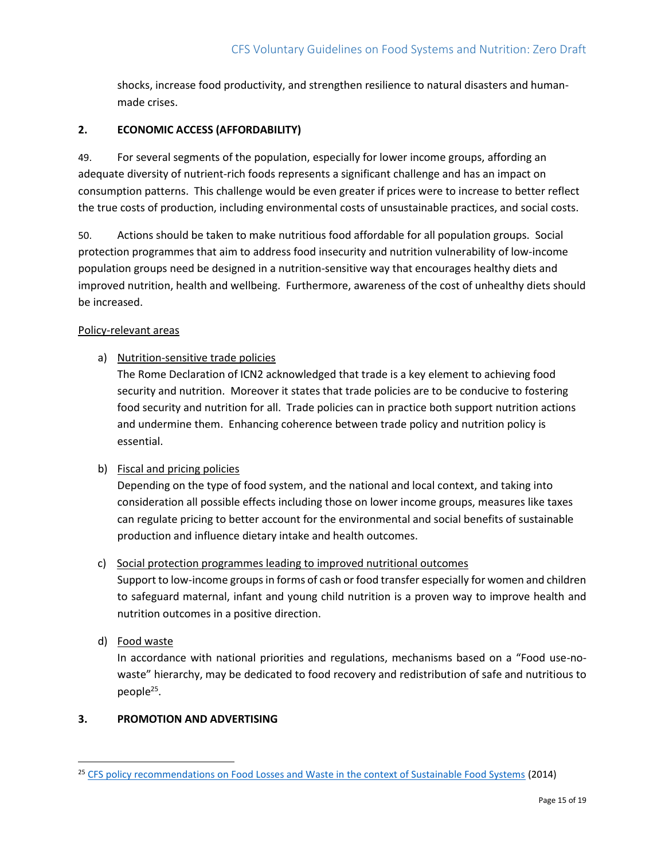shocks, increase food productivity, and strengthen resilience to natural disasters and humanmade crises.

## **2. ECONOMIC ACCESS (AFFORDABILITY)**

49. For several segments of the population, especially for lower income groups, affording an adequate diversity of nutrient-rich foods represents a significant challenge and has an impact on consumption patterns. This challenge would be even greater if prices were to increase to better reflect the true costs of production, including environmental costs of unsustainable practices, and social costs.

50. Actions should be taken to make nutritious food affordable for all population groups. Social protection programmes that aim to address food insecurity and nutrition vulnerability of low-income population groups need be designed in a nutrition-sensitive way that encourages healthy diets and improved nutrition, health and wellbeing. Furthermore, awareness of the cost of unhealthy diets should be increased.

### Policy-relevant areas

a) Nutrition-sensitive trade policies

The Rome Declaration of ICN2 acknowledged that trade is a key element to achieving food security and nutrition. Moreover it states that trade policies are to be conducive to fostering food security and nutrition for all. Trade policies can in practice both support nutrition actions and undermine them. Enhancing coherence between trade policy and nutrition policy is essential.

## b) Fiscal and pricing policies

Depending on the type of food system, and the national and local context, and taking into consideration all possible effects including those on lower income groups, measures like taxes can regulate pricing to better account for the environmental and social benefits of sustainable production and influence dietary intake and health outcomes.

## c) Social protection programmes leading to improved nutritional outcomes

Support to low-income groups in forms of cash or food transfer especially for women and children to safeguard maternal, infant and young child nutrition is a proven way to improve health and nutrition outcomes in a positive direction.

d) Food waste

 $\overline{\phantom{a}}$ 

In accordance with national priorities and regulations, mechanisms based on a "Food use-nowaste" hierarchy, may be dedicated to food recovery and redistribution of safe and nutritious to people<sup>25</sup>.

## **3. PROMOTION AND ADVERTISING**

<sup>&</sup>lt;sup>25</sup> [CFS policy recommendations on Food Losses and Waste in the context of Sustainable Food Systems](http://www.fao.org/3/a-av037e.pdf) (2014)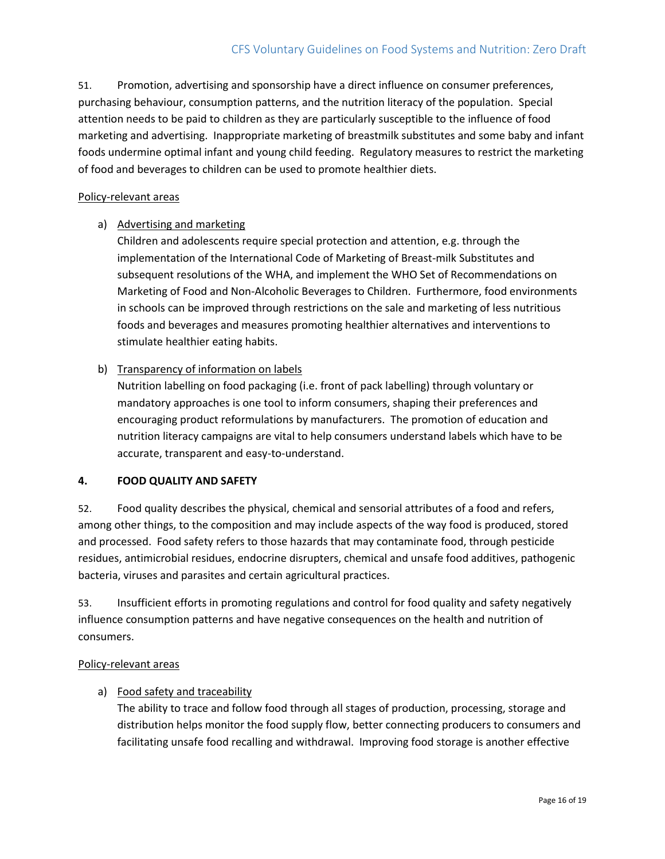51. Promotion, advertising and sponsorship have a direct influence on consumer preferences, purchasing behaviour, consumption patterns, and the nutrition literacy of the population. Special attention needs to be paid to children as they are particularly susceptible to the influence of food marketing and advertising. Inappropriate marketing of breastmilk substitutes and some baby and infant foods undermine optimal infant and young child feeding. Regulatory measures to restrict the marketing of food and beverages to children can be used to promote healthier diets.

#### Policy-relevant areas

## a) Advertising and marketing

Children and adolescents require special protection and attention, e.g. through the implementation of the International Code of Marketing of Breast-milk Substitutes and subsequent resolutions of the WHA, and implement the WHO Set of Recommendations on Marketing of Food and Non-Alcoholic Beverages to Children. Furthermore, food environments in schools can be improved through restrictions on the sale and marketing of less nutritious foods and beverages and measures promoting healthier alternatives and interventions to stimulate healthier eating habits.

## b) Transparency of information on labels

Nutrition labelling on food packaging (i.e. front of pack labelling) through voluntary or mandatory approaches is one tool to inform consumers, shaping their preferences and encouraging product reformulations by manufacturers. The promotion of education and nutrition literacy campaigns are vital to help consumers understand labels which have to be accurate, transparent and easy-to-understand.

#### **4. FOOD QUALITY AND SAFETY**

52. Food quality describes the physical, chemical and sensorial attributes of a food and refers, among other things, to the composition and may include aspects of the way food is produced, stored and processed. Food safety refers to those hazards that may contaminate food, through pesticide residues, antimicrobial residues, endocrine disrupters, chemical and unsafe food additives, pathogenic bacteria, viruses and parasites and certain agricultural practices.

53. Insufficient efforts in promoting regulations and control for food quality and safety negatively influence consumption patterns and have negative consequences on the health and nutrition of consumers.

#### Policy-relevant areas

## a) Food safety and traceability

The ability to trace and follow food through all stages of production, processing, storage and distribution helps monitor the food supply flow, better connecting producers to consumers and facilitating unsafe food recalling and withdrawal. Improving food storage is another effective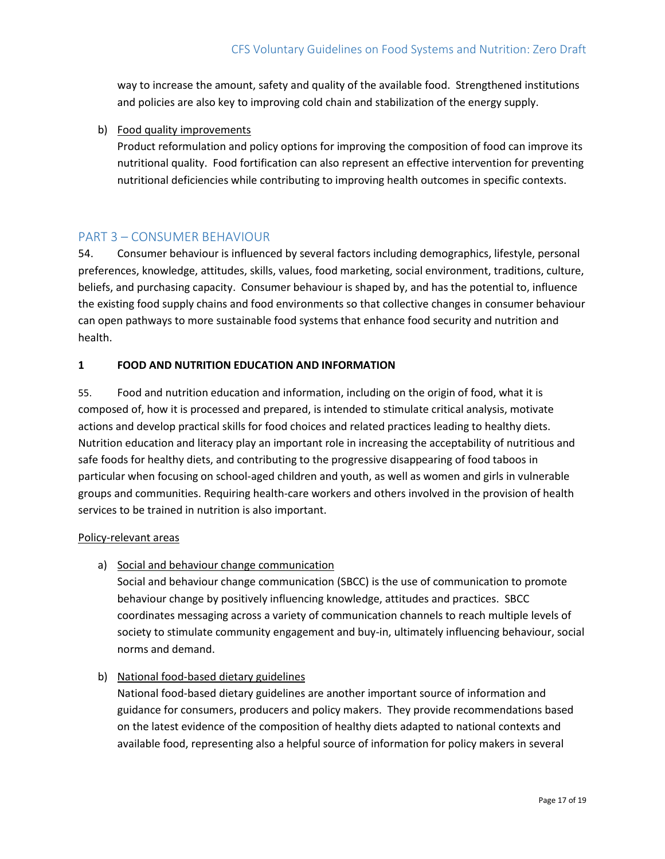way to increase the amount, safety and quality of the available food. Strengthened institutions and policies are also key to improving cold chain and stabilization of the energy supply.

b) Food quality improvements

Product reformulation and policy options for improving the composition of food can improve its nutritional quality. Food fortification can also represent an effective intervention for preventing nutritional deficiencies while contributing to improving health outcomes in specific contexts.

## <span id="page-16-0"></span>PART 3 – CONSUMER BEHAVIOUR

54. Consumer behaviour is influenced by several factors including demographics, lifestyle, personal preferences, knowledge, attitudes, skills, values, food marketing, social environment, traditions, culture, beliefs, and purchasing capacity. Consumer behaviour is shaped by, and has the potential to, influence the existing food supply chains and food environments so that collective changes in consumer behaviour can open pathways to more sustainable food systems that enhance food security and nutrition and health.

## **1 FOOD AND NUTRITION EDUCATION AND INFORMATION**

55. Food and nutrition education and information, including on the origin of food, what it is composed of, how it is processed and prepared, is intended to stimulate critical analysis, motivate actions and develop practical skills for food choices and related practices leading to healthy diets. Nutrition education and literacy play an important role in increasing the acceptability of nutritious and safe foods for healthy diets, and contributing to the progressive disappearing of food taboos in particular when focusing on school-aged children and youth, as well as women and girls in vulnerable groups and communities. Requiring health-care workers and others involved in the provision of health services to be trained in nutrition is also important.

#### Policy-relevant areas

a) Social and behaviour change communication

Social and behaviour change communication (SBCC) is the use of communication to promote behaviour change by positively influencing knowledge, attitudes and practices. SBCC coordinates messaging across a variety of communication channels to reach multiple levels of society to stimulate community engagement and buy-in, ultimately influencing behaviour, social norms and demand.

## b) National food-based dietary guidelines

National food-based dietary guidelines are another important source of information and guidance for consumers, producers and policy makers. They provide recommendations based on the latest evidence of the composition of healthy diets adapted to national contexts and available food, representing also a helpful source of information for policy makers in several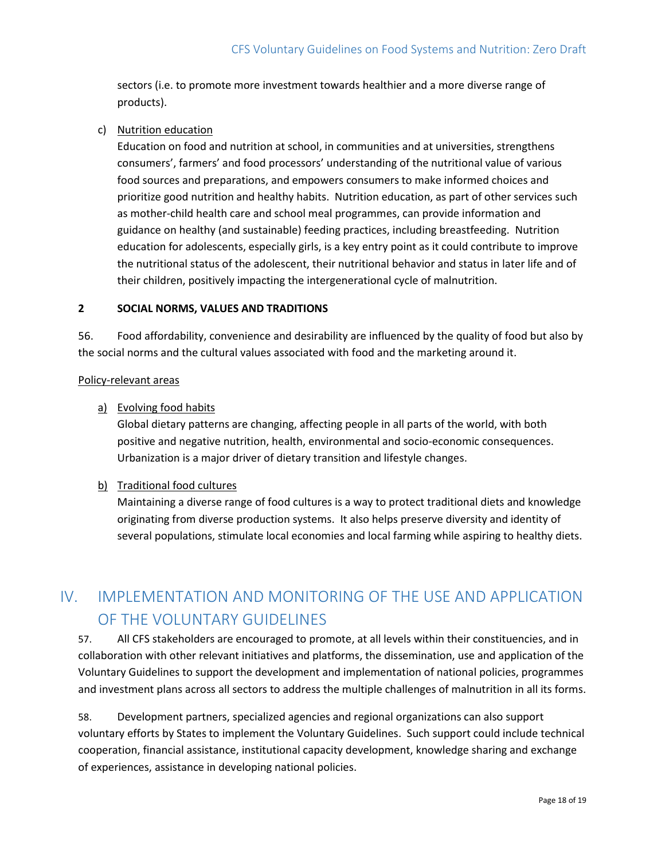sectors (i.e. to promote more investment towards healthier and a more diverse range of products).

c) Nutrition education

Education on food and nutrition at school, in communities and at universities, strengthens consumers', farmers' and food processors' understanding of the nutritional value of various food sources and preparations, and empowers consumers to make informed choices and prioritize good nutrition and healthy habits. Nutrition education, as part of other services such as mother-child health care and school meal programmes, can provide information and guidance on healthy (and sustainable) feeding practices, including breastfeeding. Nutrition education for adolescents, especially girls, is a key entry point as it could contribute to improve the nutritional status of the adolescent, their nutritional behavior and status in later life and of their children, positively impacting the intergenerational cycle of malnutrition.

## **2 SOCIAL NORMS, VALUES AND TRADITIONS**

56. Food affordability, convenience and desirability are influenced by the quality of food but also by the social norms and the cultural values associated with food and the marketing around it.

#### Policy-relevant areas

## a) Evolving food habits

Global dietary patterns are changing, affecting people in all parts of the world, with both positive and negative nutrition, health, environmental and socio-economic consequences. Urbanization is a major driver of dietary transition and lifestyle changes.

## b) Traditional food cultures

Maintaining a diverse range of food cultures is a way to protect traditional diets and knowledge originating from diverse production systems. It also helps preserve diversity and identity of several populations, stimulate local economies and local farming while aspiring to healthy diets.

# <span id="page-17-0"></span>IV. IMPLEMENTATION AND MONITORING OF THE USE AND APPLICATION OF THE VOLUNTARY GUIDELINES

57. All CFS stakeholders are encouraged to promote, at all levels within their constituencies, and in collaboration with other relevant initiatives and platforms, the dissemination, use and application of the Voluntary Guidelines to support the development and implementation of national policies, programmes and investment plans across all sectors to address the multiple challenges of malnutrition in all its forms.

58. Development partners, specialized agencies and regional organizations can also support voluntary efforts by States to implement the Voluntary Guidelines. Such support could include technical cooperation, financial assistance, institutional capacity development, knowledge sharing and exchange of experiences, assistance in developing national policies.